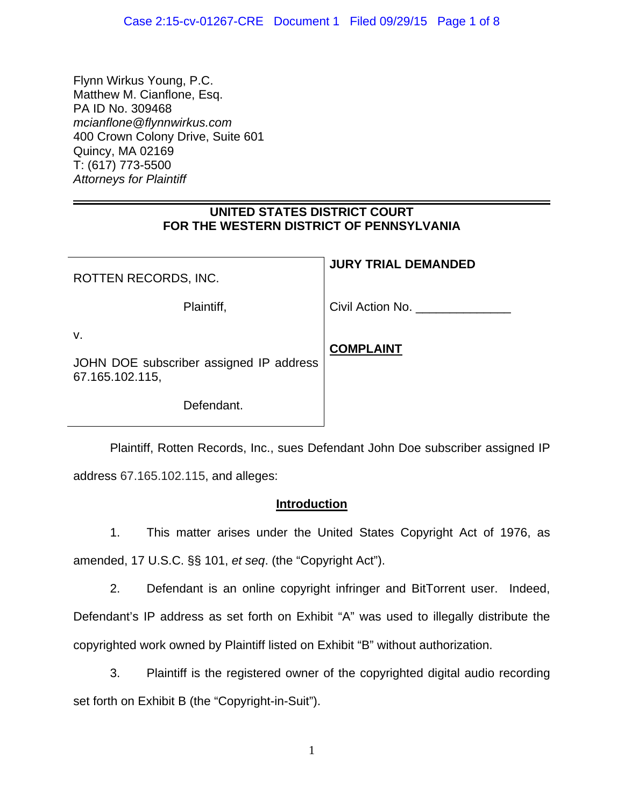Flynn Wirkus Young, P.C. Matthew M. Cianflone, Esq. PA ID No. 309468 *mcianflone@flynnwirkus.com* 400 Crown Colony Drive, Suite 601 Quincy, MA 02169 T: (617) 773-5500 *Attorneys for Plaintiff*

# **UNITED STATES DISTRICT COURT FOR THE WESTERN DISTRICT OF PENNSYLVANIA**

**JURY TRIAL DEMANDED** 

| ROTTEN RECORDS, INC.                                             | JUNI INIAL DEMANDED |
|------------------------------------------------------------------|---------------------|
| Plaintiff,                                                       | Civil Action No.    |
| ۷.<br>JOHN DOE subscriber assigned IP address<br>67.165.102.115, | <b>COMPLAINT</b>    |
| Defendant.                                                       |                     |

 Plaintiff, Rotten Records, Inc., sues Defendant John Doe subscriber assigned IP address 67.165.102.115, and alleges:

# **Introduction**

1. This matter arises under the United States Copyright Act of 1976, as amended, 17 U.S.C. §§ 101, *et seq*. (the "Copyright Act").

2. Defendant is an online copyright infringer and BitTorrent user. Indeed, Defendant's IP address as set forth on Exhibit "A" was used to illegally distribute the copyrighted work owned by Plaintiff listed on Exhibit "B" without authorization.

3. Plaintiff is the registered owner of the copyrighted digital audio recording set forth on Exhibit B (the "Copyright-in-Suit").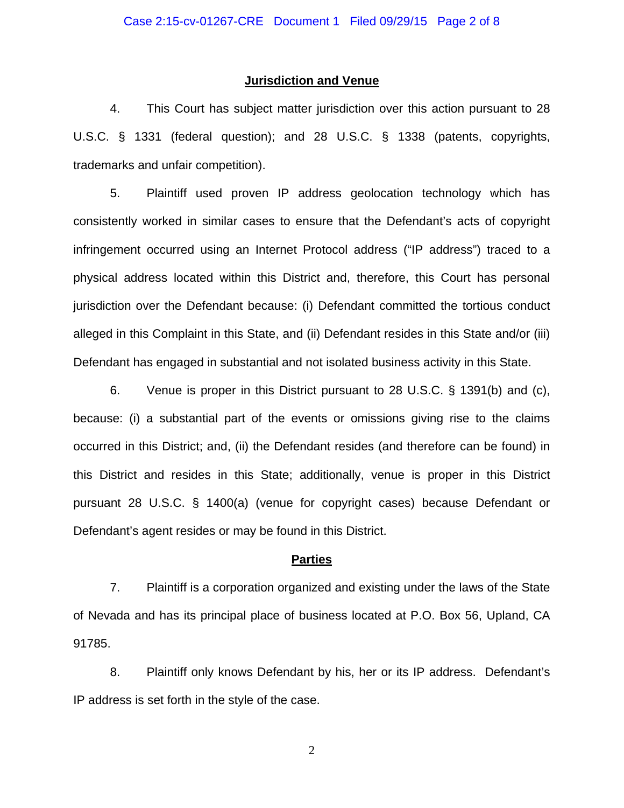#### **Jurisdiction and Venue**

4. This Court has subject matter jurisdiction over this action pursuant to 28 U.S.C. § 1331 (federal question); and 28 U.S.C. § 1338 (patents, copyrights, trademarks and unfair competition).

5. Plaintiff used proven IP address geolocation technology which has consistently worked in similar cases to ensure that the Defendant's acts of copyright infringement occurred using an Internet Protocol address ("IP address") traced to a physical address located within this District and, therefore, this Court has personal jurisdiction over the Defendant because: (i) Defendant committed the tortious conduct alleged in this Complaint in this State, and (ii) Defendant resides in this State and/or (iii) Defendant has engaged in substantial and not isolated business activity in this State.

6. Venue is proper in this District pursuant to 28 U.S.C. § 1391(b) and (c), because: (i) a substantial part of the events or omissions giving rise to the claims occurred in this District; and, (ii) the Defendant resides (and therefore can be found) in this District and resides in this State; additionally, venue is proper in this District pursuant 28 U.S.C. § 1400(a) (venue for copyright cases) because Defendant or Defendant's agent resides or may be found in this District.

#### **Parties**

7. Plaintiff is a corporation organized and existing under the laws of the State of Nevada and has its principal place of business located at P.O. Box 56, Upland, CA 91785.

8. Plaintiff only knows Defendant by his, her or its IP address. Defendant's IP address is set forth in the style of the case.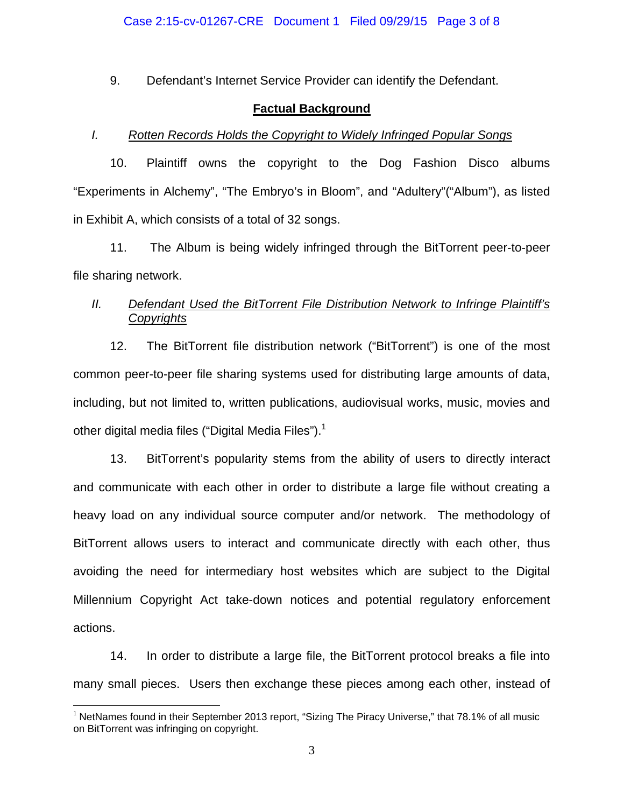9. Defendant's Internet Service Provider can identify the Defendant.

### **Factual Background**

### *I. Rotten Records Holds the Copyright to Widely Infringed Popular Songs*

10. Plaintiff owns the copyright to the Dog Fashion Disco albums "Experiments in Alchemy", "The Embryo's in Bloom", and "Adultery"("Album"), as listed in Exhibit A, which consists of a total of 32 songs.

11. The Album is being widely infringed through the BitTorrent peer-to-peer file sharing network.

## *II. Defendant Used the BitTorrent File Distribution Network to Infringe Plaintiff's Copyrights*

12. The BitTorrent file distribution network ("BitTorrent") is one of the most common peer-to-peer file sharing systems used for distributing large amounts of data, including, but not limited to, written publications, audiovisual works, music, movies and other digital media files ("Digital Media Files").<sup>1</sup>

13. BitTorrent's popularity stems from the ability of users to directly interact and communicate with each other in order to distribute a large file without creating a heavy load on any individual source computer and/or network. The methodology of BitTorrent allows users to interact and communicate directly with each other, thus avoiding the need for intermediary host websites which are subject to the Digital Millennium Copyright Act take-down notices and potential regulatory enforcement actions.

14. In order to distribute a large file, the BitTorrent protocol breaks a file into many small pieces. Users then exchange these pieces among each other, instead of

 $\overline{a}$ 

 $1$  NetNames found in their September 2013 report, "Sizing The Piracy Universe," that 78.1% of all music on BitTorrent was infringing on copyright.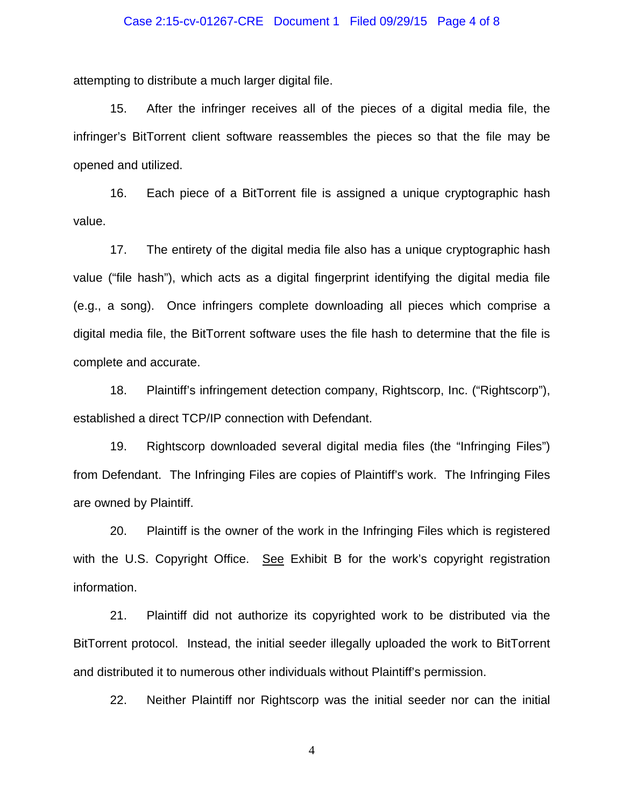#### Case 2:15-cv-01267-CRE Document 1 Filed 09/29/15 Page 4 of 8

attempting to distribute a much larger digital file.

15. After the infringer receives all of the pieces of a digital media file, the infringer's BitTorrent client software reassembles the pieces so that the file may be opened and utilized.

16. Each piece of a BitTorrent file is assigned a unique cryptographic hash value.

17. The entirety of the digital media file also has a unique cryptographic hash value ("file hash"), which acts as a digital fingerprint identifying the digital media file (e.g., a song). Once infringers complete downloading all pieces which comprise a digital media file, the BitTorrent software uses the file hash to determine that the file is complete and accurate.

18. Plaintiff's infringement detection company, Rightscorp, Inc. ("Rightscorp"), established a direct TCP/IP connection with Defendant.

19. Rightscorp downloaded several digital media files (the "Infringing Files") from Defendant. The Infringing Files are copies of Plaintiff's work. The Infringing Files are owned by Plaintiff.

20. Plaintiff is the owner of the work in the Infringing Files which is registered with the U.S. Copyright Office. See Exhibit B for the work's copyright registration information.

21. Plaintiff did not authorize its copyrighted work to be distributed via the BitTorrent protocol. Instead, the initial seeder illegally uploaded the work to BitTorrent and distributed it to numerous other individuals without Plaintiff's permission.

22. Neither Plaintiff nor Rightscorp was the initial seeder nor can the initial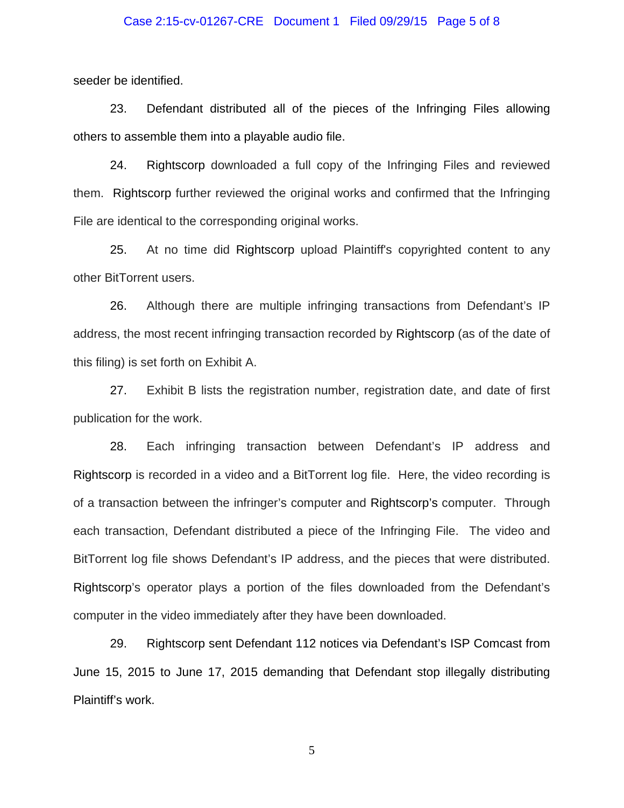#### Case 2:15-cv-01267-CRE Document 1 Filed 09/29/15 Page 5 of 8

seeder be identified.

23. Defendant distributed all of the pieces of the Infringing Files allowing others to assemble them into a playable audio file.

24. Rightscorp downloaded a full copy of the Infringing Files and reviewed them. Rightscorp further reviewed the original works and confirmed that the Infringing File are identical to the corresponding original works.

25. At no time did Rightscorp upload Plaintiff's copyrighted content to any other BitTorrent users.

26. Although there are multiple infringing transactions from Defendant's IP address, the most recent infringing transaction recorded by Rightscorp (as of the date of this filing) is set forth on Exhibit A.

27. Exhibit B lists the registration number, registration date, and date of first publication for the work.

28. Each infringing transaction between Defendant's IP address and Rightscorp is recorded in a video and a BitTorrent log file. Here, the video recording is of a transaction between the infringer's computer and Rightscorp's computer. Through each transaction, Defendant distributed a piece of the Infringing File. The video and BitTorrent log file shows Defendant's IP address, and the pieces that were distributed. Rightscorp's operator plays a portion of the files downloaded from the Defendant's computer in the video immediately after they have been downloaded.

29. Rightscorp sent Defendant 112 notices via Defendant's ISP Comcast from June 15, 2015 to June 17, 2015 demanding that Defendant stop illegally distributing Plaintiff's work.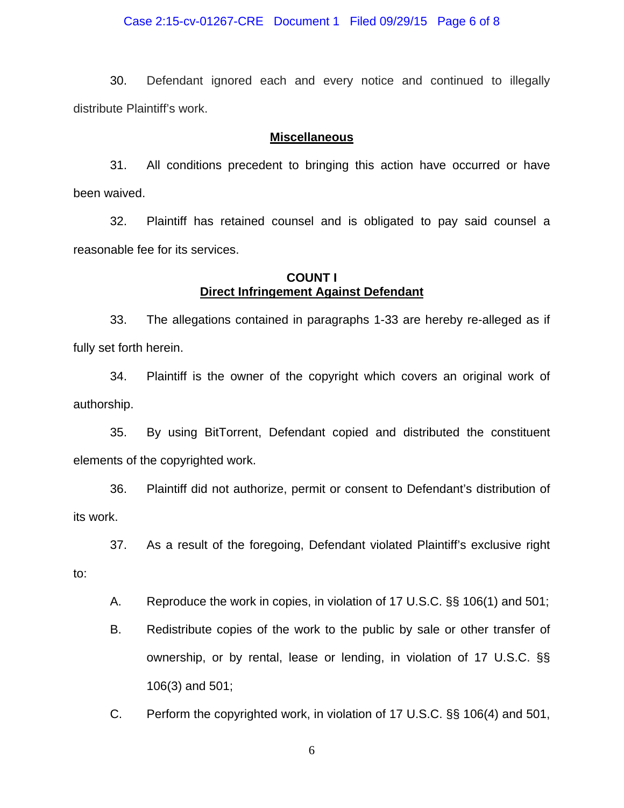#### Case 2:15-cv-01267-CRE Document 1 Filed 09/29/15 Page 6 of 8

30. Defendant ignored each and every notice and continued to illegally distribute Plaintiff's work.

### **Miscellaneous**

31. All conditions precedent to bringing this action have occurred or have been waived.

32. Plaintiff has retained counsel and is obligated to pay said counsel a reasonable fee for its services.

### **COUNT I Direct Infringement Against Defendant**

33. The allegations contained in paragraphs 1-33 are hereby re-alleged as if fully set forth herein.

34. Plaintiff is the owner of the copyright which covers an original work of authorship.

35. By using BitTorrent, Defendant copied and distributed the constituent elements of the copyrighted work.

36. Plaintiff did not authorize, permit or consent to Defendant's distribution of its work.

37. As a result of the foregoing, Defendant violated Plaintiff's exclusive right

to:

A. Reproduce the work in copies, in violation of 17 U.S.C. §§ 106(1) and 501;

B. Redistribute copies of the work to the public by sale or other transfer of ownership, or by rental, lease or lending, in violation of 17 U.S.C. §§ 106(3) and 501;

C. Perform the copyrighted work, in violation of 17 U.S.C. §§ 106(4) and 501,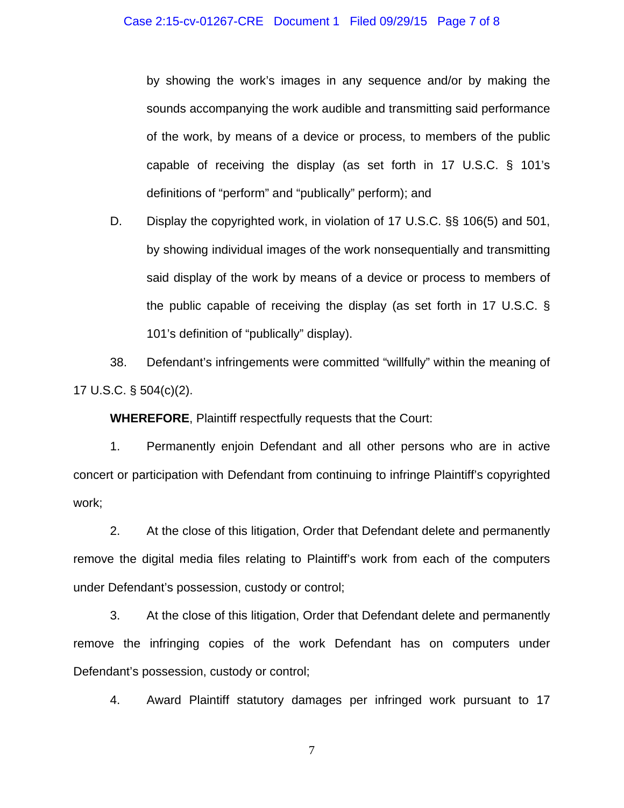by showing the work's images in any sequence and/or by making the sounds accompanying the work audible and transmitting said performance of the work, by means of a device or process, to members of the public capable of receiving the display (as set forth in 17 U.S.C. § 101's definitions of "perform" and "publically" perform); and

D. Display the copyrighted work, in violation of 17 U.S.C. §§ 106(5) and 501, by showing individual images of the work nonsequentially and transmitting said display of the work by means of a device or process to members of the public capable of receiving the display (as set forth in 17 U.S.C. § 101's definition of "publically" display).

38. Defendant's infringements were committed "willfully" within the meaning of 17 U.S.C. § 504(c)(2).

**WHEREFORE**, Plaintiff respectfully requests that the Court:

1. Permanently enjoin Defendant and all other persons who are in active concert or participation with Defendant from continuing to infringe Plaintiff's copyrighted work;

2. At the close of this litigation, Order that Defendant delete and permanently remove the digital media files relating to Plaintiff's work from each of the computers under Defendant's possession, custody or control;

3. At the close of this litigation, Order that Defendant delete and permanently remove the infringing copies of the work Defendant has on computers under Defendant's possession, custody or control;

4. Award Plaintiff statutory damages per infringed work pursuant to 17